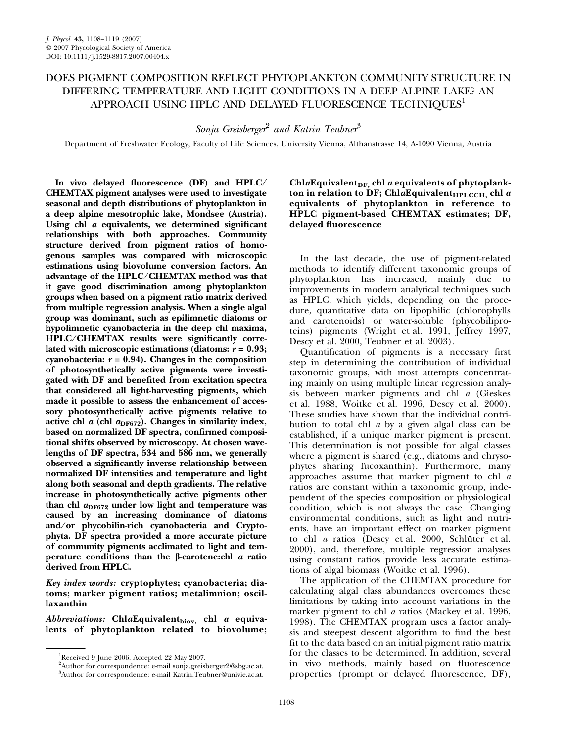### DOES PIGMENT COMPOSITION REFLECT PHYTOPLANKTON COMMUNITY STRUCTURE IN DIFFERING TEMPERATURE AND LIGHT CONDITIONS IN A DEEP ALPINE LAKE? AN APPROACH USING HPLC AND DELAYED FLUORESCENCE TECHNIQUES<sup>1</sup>

### Sonia Greisberger<sup>2</sup> and Katrin Teubner<sup>3</sup>

Department of Freshwater Ecology, Faculty of Life Sciences, University Vienna, Althanstrasse 14, A-1090 Vienna, Austria

In vivo delayed fluorescence (DF) and HPLC⁄ CHEMTAX pigment analyses were used to investigate seasonal and depth distributions of phytoplankton in a deep alpine mesotrophic lake, Mondsee (Austria). Using  $chla$  a equivalents, we determined significant relationships with both approaches. Community structure derived from pigment ratios of homogenous samples was compared with microscopic estimations using biovolume conversion factors. An advantage of the HPLC⁄CHEMTAX method was that it gave good discrimination among phytoplankton groups when based on a pigment ratio matrix derived from multiple regression analysis. When a single algal group was dominant, such as epilimnetic diatoms or hypolimnetic cyanobacteria in the deep chl maxima, HPLC⁄CHEMTAX results were significantly correlated with microscopic estimations (diatoms:  $r = 0.93$ ; cyanobacteria:  $r = 0.94$ ). Changes in the composition of photosynthetically active pigments were investigated with DF and benefited from excitation spectra that considered all light-harvesting pigments, which made it possible to assess the enhancement of accessory photosynthetically active pigments relative to active chl  $a$  (chl  $a_{DF672}$ ). Changes in similarity index, based on normalized DF spectra, confirmed compositional shifts observed by microscopy. At chosen wavelengths of DF spectra, 534 and 586 nm, we generally observed a significantly inverse relationship between normalized DF intensities and temperature and light along both seasonal and depth gradients. The relative increase in photosynthetically active pigments other than chl  $a_{\text{DF672}}$  under low light and temperature was caused by an increasing dominance of diatoms and/or phycobilin-rich cyanobacteria and Cryptophyta. DF spectra provided a more accurate picture of community pigments acclimated to light and temperature conditions than the  $\beta$ -carotene:chl *a* ratio derived from HPLC.

Key index words: cryptophytes; cyanobacteria; diatoms; marker pigment ratios; metalimnion; oscillaxanthin

Abbreviations: ChlaEquivalent $_{\text{bioy}}$ , chl a equivalents of phytoplankton related to biovolume; ChlaEquivalent $_{\text{DF}}$ , chl a equivalents of phytoplankton in relation to DF; ChlaEquivalent $_{\rm HPLCCH}$ , chl a equivalents of phytoplankton in reference to HPLC pigment-based CHEMTAX estimates; DF, delayed fluorescence

In the last decade, the use of pigment-related methods to identify different taxonomic groups of phytoplankton has increased, mainly due to improvements in modern analytical techniques such as HPLC, which yields, depending on the procedure, quantitative data on lipophilic (chlorophylls and carotenoids) or water-soluble (phycobiliproteins) pigments (Wright et al. 1991, Jeffrey 1997, Descy et al. 2000, Teubner et al. 2003).

Quantification of pigments is a necessary first step in determining the contribution of individual taxonomic groups, with most attempts concentrating mainly on using multiple linear regression analysis between marker pigments and chl a (Gieskes et al. 1988, Woitke et al. 1996, Descy et al. 2000). These studies have shown that the individual contribution to total chl  $\alpha$  by a given algal class can be established, if a unique marker pigment is present. This determination is not possible for algal classes where a pigment is shared (e.g., diatoms and chrysophytes sharing fucoxanthin). Furthermore, many approaches assume that marker pigment to chl a ratios are constant within a taxonomic group, independent of the species composition or physiological condition, which is not always the case. Changing environmental conditions, such as light and nutrients, have an important effect on marker pigment to chl  $a$  ratios (Descy et al. 2000, Schlüter et al. 2000), and, therefore, multiple regression analyses using constant ratios provide less accurate estimations of algal biomass (Woitke et al. 1996).

The application of the CHEMTAX procedure for calculating algal class abundances overcomes these limitations by taking into account variations in the marker pigment to chl *a* ratios (Mackey et al. 1996, 1998). The CHEMTAX program uses a factor analysis and steepest descent algorithm to find the best fit to the data based on an initial pigment ratio matrix for the classes to be determined. In addition, several in vivo methods, mainly based on fluorescence properties (prompt or delayed fluorescence, DF),

<sup>&</sup>lt;sup>1</sup>Received 9 June 2006. Accepted 22 May 2007.

<sup>&</sup>lt;sup>2</sup>Author for correspondence: e-mail sonja.greisberger2@sbg.ac.at. <sup>3</sup>Author for correspondence: e-mail Katrin.Teubner@univie.ac.at.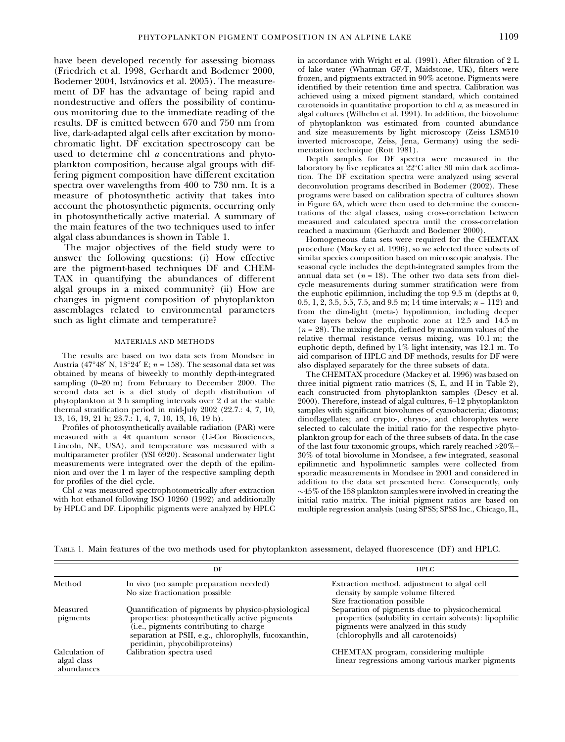have been developed recently for assessing biomass (Friedrich et al. 1998, Gerhardt and Bodemer 2000, Bodemer 2004, Istvánovics et al. 2005). The measurement of DF has the advantage of being rapid and nondestructive and offers the possibility of continuous monitoring due to the immediate reading of the results. DF is emitted between 670 and 750 nm from live, dark-adapted algal cells after excitation by monochromatic light. DF excitation spectroscopy can be used to determine chl a concentrations and phytoplankton composition, because algal groups with differing pigment composition have different excitation spectra over wavelengths from 400 to 730 nm. It is a measure of photosynthetic activity that takes into account the photosynthetic pigments, occurring only in photosynthetically active material. A summary of the main features of the two techniques used to infer algal class abundances is shown in Table 1.

The major objectives of the field study were to answer the following questions: (i) How effective are the pigment-based techniques DF and CHEM-TAX in quantifying the abundances of different algal groups in a mixed community? (ii) How are changes in pigment composition of phytoplankton assemblages related to environmental parameters such as light climate and temperature?

#### MATERIALS AND METHODS

The results are based on two data sets from Mondsee in Austria (47°48′ N, 13°24′ E;  $n = 158$ ). The seasonal data set was obtained by means of biweekly to monthly depth-integrated sampling (0–20 m) from February to December 2000. The second data set is a diel study of depth distribution of phytoplankton at 3 h sampling intervals over 2 d at the stable thermal stratification period in mid-July 2002 (22.7.: 4, 7, 10, 13, 16, 19, 21 h; 23.7.: 1, 4, 7, 10, 13, 16, 19 h).

Profiles of photosynthetically available radiation (PAR) were measured with a  $4\pi$  quantum sensor (Li-Cor Biosciences, Lincoln, NE, USA), and temperature was measured with a multiparameter profiler (YSI 6920). Seasonal underwater light measurements were integrated over the depth of the epilimnion and over the 1 m layer of the respective sampling depth for profiles of the diel cycle.

Chl a was measured spectrophotometrically after extraction with hot ethanol following ISO 10260 (1992) and additionally by HPLC and DF. Lipophilic pigments were analyzed by HPLC in accordance with Wright et al. (1991). After filtration of 2 L of lake water (Whatman GF/F, Maidstone, UK), filters were frozen, and pigments extracted in 90% acetone. Pigments were identified by their retention time and spectra. Calibration was achieved using a mixed pigment standard, which contained carotenoids in quantitative proportion to chl a, as measured in algal cultures (Wilhelm et al. 1991). In addition, the biovolume of phytoplankton was estimated from counted abundance and size measurements by light microscopy (Zeiss LSM510 inverted microscope, Zeiss, Jena, Germany) using the sedimentation technique (Rott 1981).

Depth samples for DF spectra were measured in the laboratory by five replicates at  $22^{\circ}$ C after 30 min dark acclimation. The DF excitation spectra were analyzed using several deconvolution programs described in Bodemer (2002). These programs were based on calibration spectra of cultures shown in Figure 6A, which were then used to determine the concentrations of the algal classes, using cross-correlation between measured and calculated spectra until the cross-correlation reached a maximum (Gerhardt and Bodemer 2000).

Homogeneous data sets were required for the CHEMTAX procedure (Mackey et al. 1996), so we selected three subsets of similar species composition based on microscopic analysis. The seasonal cycle includes the depth-integrated samples from the annual data set ( $n = 18$ ). The other two data sets from dielcycle measurements during summer stratification were from the euphotic epilimnion, including the top 9.5 m (depths at 0, 0.5, 1, 2, 3.5, 5.5, 7.5, and 9.5 m; 14 time intervals;  $n = 112$ ) and from the dim-light (meta-) hypolimnion, including deeper water layers below the euphotic zone at 12.5 and 14.5 m  $(n = 28)$ . The mixing depth, defined by maximum values of the relative thermal resistance versus mixing, was 10.1 m; the euphotic depth, defined by 1% light intensity, was 12.1 m. To aid comparison of HPLC and DF methods, results for DF were also displayed separately for the three subsets of data.

The CHEMTAX procedure (Mackey et al. 1996) was based on three initial pigment ratio matrices (S, E, and H in Table 2), each constructed from phytoplankton samples (Descy et al. 2000). Therefore, instead of algal cultures, 6–12 phytoplankton samples with significant biovolumes of cyanobacteria; diatoms; dinoflagellates; and crypto-, chryso-, and chlorophytes were selected to calculate the initial ratio for the respective phytoplankton group for each of the three subsets of data. In the case of the last four taxonomic groups, which rarely reached >20%– 30% of total biovolume in Mondsee, a few integrated, seasonal epilimnetic and hypolimnetic samples were collected from sporadic measurements in Mondsee in 2001 and considered in addition to the data set presented here. Consequently, only  $\sim$  45% of the 158 plankton samples were involved in creating the initial ratio matrix. The initial pigment ratios are based on multiple regression analysis (using SPSS; SPSS Inc., Chicago, IL,

|                                             | DF                                                                                                                                                                                                                                       | HPLC                                                                                                                                                                                   |
|---------------------------------------------|------------------------------------------------------------------------------------------------------------------------------------------------------------------------------------------------------------------------------------------|----------------------------------------------------------------------------------------------------------------------------------------------------------------------------------------|
| Method                                      | In vivo (no sample preparation needed)<br>No size fractionation possible                                                                                                                                                                 | Extraction method, adjustment to algal cell<br>density by sample volume filtered<br>Size fractionation possible                                                                        |
| Measured<br>pigments                        | Quantification of pigments by physico-physiological<br>properties: photosynthetically active pigments<br>(i.e., pigments contributing to charge<br>separation at PSII, e.g., chlorophylls, fucoxanthin,<br>peridinin, phycobiliproteins) | Separation of pigments due to physicochemical<br>properties (solubility in certain solvents): lipophilic<br>pigments were analyzed in this study<br>(chlorophylls and all carotenoids) |
| Calculation of<br>algal class<br>abundances | Calibration spectra used                                                                                                                                                                                                                 | CHEMTAX program, considering multiple<br>linear regressions among various marker pigments                                                                                              |

Table 1. Main features of the two methods used for phytoplankton assessment, delayed fluorescence (DF) and HPLC.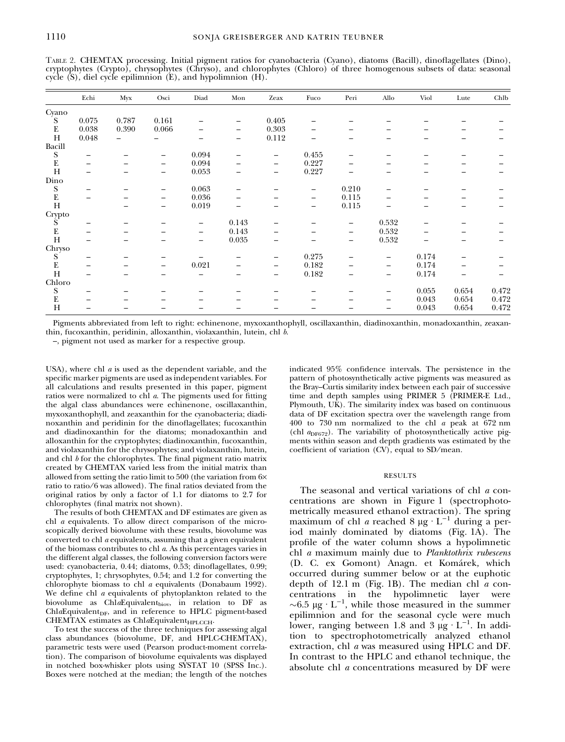| TABLE 2. CHEMTAX processing. Initial pigment ratios for cyanobacteria (Cyano), diatoms (Bacill), dinoflagellates (Dino), |  |
|--------------------------------------------------------------------------------------------------------------------------|--|
| cryptophytes (Crypto), chrysophytes (Chryso), and chlorophytes (Chloro) of three homogenous subsets of data: seasonal    |  |
| cycle $(S)$ , diel cycle epilimnion $(E)$ , and hypolimnion $(H)$ .                                                      |  |

|                           | Echi  | Myx   | Osci                     | Diad                     | Mon   | Zeax                     | Fuco                     | Peri  | Allo  | Viol  | Lute  | Chlb  |
|---------------------------|-------|-------|--------------------------|--------------------------|-------|--------------------------|--------------------------|-------|-------|-------|-------|-------|
| Cyano                     |       |       |                          |                          |       |                          |                          |       |       |       |       |       |
| S                         | 0.075 | 0.787 | 0.161                    |                          | -     | 0.405                    |                          |       |       |       |       |       |
| $\mathbf E$               | 0.038 | 0.390 | 0.066                    |                          |       | 0.303                    |                          |       |       |       |       |       |
| H                         | 0.048 |       |                          |                          |       | 0.112                    |                          |       |       |       |       |       |
| Bacill                    |       |       |                          |                          |       |                          |                          |       |       |       |       |       |
| ${\bf S}$                 |       |       |                          | 0.094                    |       | $\overline{\phantom{0}}$ | 0.455                    |       |       |       |       |       |
| ${\bf E}$                 |       |       | -                        | 0.094                    |       | $\qquad \qquad -$        | 0.227                    |       |       |       |       |       |
| $\boldsymbol{\mathrm{H}}$ |       |       |                          | 0.053                    |       | $\qquad \qquad$          | 0.227                    |       |       |       |       |       |
| Dino                      |       |       |                          |                          |       |                          |                          |       |       |       |       |       |
| ${\bf S}$                 |       |       | $\overline{\phantom{0}}$ | 0.063                    |       | -                        | $\overline{\phantom{0}}$ | 0.210 |       |       |       |       |
| ${\bf E}$                 |       |       | $\overline{\phantom{0}}$ | 0.036                    |       |                          | -                        | 0.115 |       |       |       |       |
| H                         |       |       | -                        | 0.019                    |       |                          | -                        | 0.115 |       |       |       |       |
| Crypto                    |       |       |                          |                          |       |                          |                          |       |       |       |       |       |
| S                         |       |       |                          |                          | 0.143 |                          |                          |       | 0.532 |       |       |       |
| ${\bf E}$                 |       |       |                          | $\overline{\phantom{0}}$ | 0.143 |                          |                          | -     | 0.532 |       |       |       |
| H                         |       |       |                          | -                        | 0.035 |                          |                          | -     | 0.532 |       |       |       |
| Chryso                    |       |       |                          |                          |       |                          |                          |       |       |       |       |       |
| ${\bf S}$                 |       |       |                          |                          |       | $\overline{\phantom{0}}$ | 0.275                    |       | -     | 0.174 |       |       |
| ${\bf E}$                 |       |       | -                        | 0.021                    |       | $\overline{\phantom{0}}$ | 0.182                    |       | -     | 0.174 |       |       |
| H                         |       |       |                          |                          |       | $\overline{\phantom{0}}$ | 0.182                    |       | -     | 0.174 |       |       |
| Chloro                    |       |       |                          |                          |       |                          |                          |       |       |       |       |       |
| S                         |       |       |                          |                          |       |                          |                          |       | -     | 0.055 | 0.654 | 0.472 |
| E                         |       |       |                          |                          |       |                          |                          |       | -     | 0.043 | 0.654 | 0.472 |
| H                         |       |       |                          |                          |       |                          |                          |       |       | 0.043 | 0.654 | 0.472 |

Pigments abbreviated from left to right: echinenone, myxoxanthophyll, oscillaxanthin, diadinoxanthin, monadoxanthin, zeaxanthin, fucoxanthin, peridinin, alloxanthin, violaxanthin, lutein, chl b.

–, pigment not used as marker for a respective group.

USA), where chl a is used as the dependent variable, and the specific marker pigments are used as independent variables. For all calculations and results presented in this paper, pigment ratios were normalized to chl a. The pigments used for fitting the algal class abundances were echinenone, oscillaxanthin, myxoxanthophyll, and zeaxanthin for the cyanobacteria; diadinoxanthin and peridinin for the dinoflagellates; fucoxanthin and diadinoxanthin for the diatoms; monadoxanthin and alloxanthin for the cryptophytes; diadinoxanthin, fucoxanthin, and violaxanthin for the chrysophytes; and violaxanthin, lutein, and chl b for the chlorophytes. The final pigment ratio matrix created by CHEMTAX varied less from the initial matrix than allowed from setting the ratio limit to  $500$  (the variation from  $6\times$ ratio to ratio/6 was allowed). The final ratios deviated from the original ratios by only a factor of 1.1 for diatoms to 2.7 for chlorophytes (final matrix not shown).

The results of both CHEMTAX and DF estimates are given as chl a equivalents. To allow direct comparison of the microscopically derived biovolume with these results, biovolume was converted to chl a equivalents, assuming that a given equivalent of the biomass contributes to chl a. As this percentages varies in the different algal classes, the following conversion factors were used: cyanobacteria, 0.44; diatoms, 0.53; dinoflagellates, 0.99; cryptophytes, 1; chrysophytes, 0.54; and 1.2 for converting the chlorophyte biomass to chl a equivalents (Donabaum 1992). We define chl *a* equivalents of phytoplankton related to the biovolume as ChlaEquivalent<sub>biov</sub>, in relation to DF as  $Chla$ Equivalent<sub>DF</sub>, and in reference to HPLC pigment-based CHEMTAX estimates as ChlaEquivalent $_{\text{HPLCCH}}$ .

To test the success of the three techniques for assessing algal class abundances (biovolume, DF, and HPLC-CHEMTAX), parametric tests were used (Pearson product-moment correlation). The comparison of biovolume equivalents was displayed in notched box-whisker plots using SYSTAT 10 (SPSS Inc.). Boxes were notched at the median; the length of the notches indicated 95% confidence intervals. The persistence in the pattern of photosynthetically active pigments was measured as the Bray–Curtis similarity index between each pair of successive time and depth samples using PRIMER 5 (PRIMER-E Ltd., Plymouth, UK). The similarity index was based on continuous data of DF excitation spectra over the wavelength range from 400 to 730 nm normalized to the chl a peak at 672 nm (chl  $a_{DF672}$ ). The variability of photosynthetically active pigments within season and depth gradients was estimated by the coefficient of variation (CV), equal to SD/mean.

#### RESULTS

The seasonal and vertical variations of chl a concentrations are shown in Figure 1 (spectrophotometrically measured ethanol extraction). The spring maximum of chl a reached  $8 \mu g \cdot L^{-1}$  during a period mainly dominated by diatoms (Fig. 1A). The profile of the water column shows a hypolimnetic chl a maximum mainly due to Planktothrix rubescens (D. C. ex Gomont) Anagn. et Koma´rek, which occurred during summer below or at the euphotic depth of 12.1 m (Fig. 1B). The median chl a concentrations in the hypolimnetic layer were ~6.5 µg  $\cdot$  L<sup>-1</sup>, while those measured in the summer epilimnion and for the seasonal cycle were much lower, ranging between 1.8 and 3  $\mu$ g · L<sup>-1</sup>. In addition to spectrophotometrically analyzed ethanol extraction, chl a was measured using HPLC and DF. In contrast to the HPLC and ethanol technique, the absolute chl a concentrations measured by DF were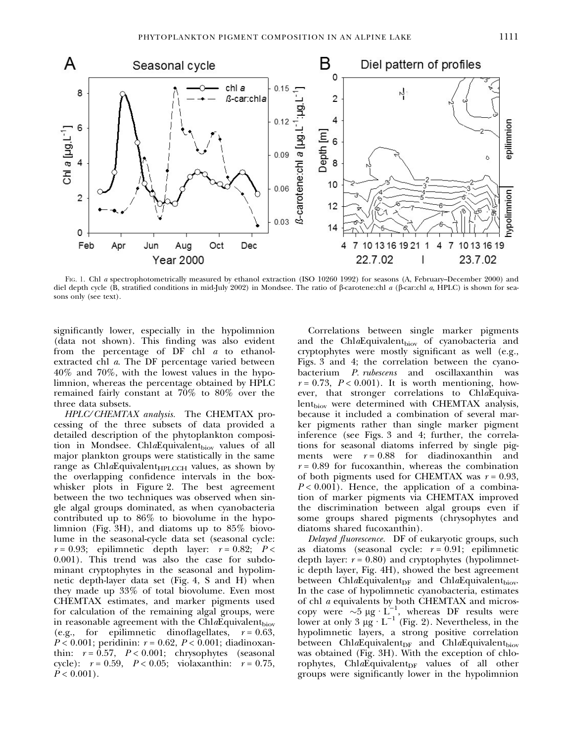

Fig. 1. Chl a spectrophotometrically measured by ethanol extraction (ISO 10260 1992) for seasons (A, February–December 2000) and diel depth cycle (B, stratified conditions in mid-July 2002) in Mondsee. The ratio of β-carotene:chl a (β-car:chl a, HPLC) is shown for seasons only (see text).

significantly lower, especially in the hypolimnion (data not shown). This finding was also evident from the percentage of DF chl a to ethanolextracted chl a. The DF percentage varied between 40% and 70%, with the lowest values in the hypolimnion, whereas the percentage obtained by HPLC remained fairly constant at 70% to 80% over the three data subsets.

HPLC/CHEMTAX analysis. The CHEMTAX processing of the three subsets of data provided a detailed description of the phytoplankton composition in Mondsee. ChlaEquivalent<sub>biov</sub> values of all major plankton groups were statistically in the same range as ChlaEquivalent $_{\text{HPLCCH}}$  values, as shown by the overlapping confidence intervals in the boxwhisker plots in Figure 2. The best agreement between the two techniques was observed when single algal groups dominated, as when cyanobacteria contributed up to 86% to biovolume in the hypolimnion (Fig. 3H), and diatoms up to 85% biovolume in the seasonal-cycle data set (seasonal cycle:  $r = 0.93$ ; epilimnetic depth layer:  $r = 0.82$ ;  $P <$ 0.001). This trend was also the case for subdominant cryptophytes in the seasonal and hypolimnetic depth-layer data set (Fig. 4, S and H) when they made up 33% of total biovolume. Even most CHEMTAX estimates, and marker pigments used for calculation of the remaining algal groups, were in reasonable agreement with the Chl $a$ Equivalent $_{\text{biov}}$ (e.g., for epilimnetic dinoflagellates,  $r = 0.63$ ,  $P < 0.001$ ; peridinin:  $r = 0.62$ ,  $P < 0.001$ ; diadinoxanthin:  $r = 0.57$ ,  $P < 0.001$ ; chrysophytes (seasonal cycle):  $r = 0.59$ ,  $P < 0.05$ ; violaxanthin:  $r = 0.75$ ,  $P < 0.001$ ).

Correlations between single marker pigments and the ChlaEquivalentbiov of cyanobacteria and cryptophytes were mostly significant as well (e.g., Figs. 3 and 4; the correlation between the cyanobacterium P. rubescens and oscillaxanthin was  $r = 0.73$ ,  $P < 0.001$ ). It is worth mentioning, however, that stronger correlations to ChlaEquivalentbiov were determined with CHEMTAX analysis, because it included a combination of several marker pigments rather than single marker pigment inference (see Figs. 3 and 4; further, the correlations for seasonal diatoms inferred by single pigments were  $r = 0.88$  for diadinoxanthin and  $r = 0.89$  for fucoxanthin, whereas the combination of both pigments used for CHEMTAX was  $r = 0.93$ ,  $P < 0.001$ ). Hence, the application of a combination of marker pigments via CHEMTAX improved the discrimination between algal groups even if some groups shared pigments (chrysophytes and diatoms shared fucoxanthin).

Delayed fluorescence. DF of eukaryotic groups, such as diatoms (seasonal cycle:  $r = 0.91$ ; epilimnetic depth layer:  $r = 0.80$ ) and cryptophytes (hypolimnetic depth layer, Fig. 4H), showed the best agreement between  $Chla$ Equivalent<sub>DF</sub> and  $Chla$ Equivalent<sub>biov</sub>. In the case of hypolimnetic cyanobacteria, estimates of chl a equivalents by both CHEMTAX and microscopy were  $\sim$ 5  $\mu$ g·L<sup>-1</sup>, whereas DF results were<br>lower at only 3  $\mu$ g·L<sup>-1</sup> (Fig. 2). Nevertheless, in the hypolimnetic layers, a strong positive correlation between ChlaEquivalent<sub>DF</sub> and ChlaEquivalent<sub>biov</sub> was obtained (Fig. 3H). With the exception of chlorophytes,  $Chla$ Equivalent<sub>DF</sub> values of all other groups were significantly lower in the hypolimnion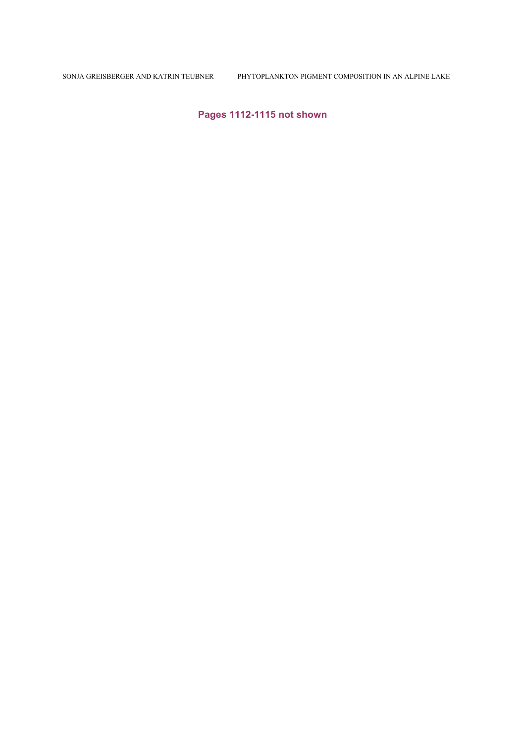SONJA GREISBERGER AND KATRIN TEUBNER PHYTOPLANKTON PIGMENT COMPOSITION IN AN ALPINE LAKE

# **Pages 1112-1115 not shown**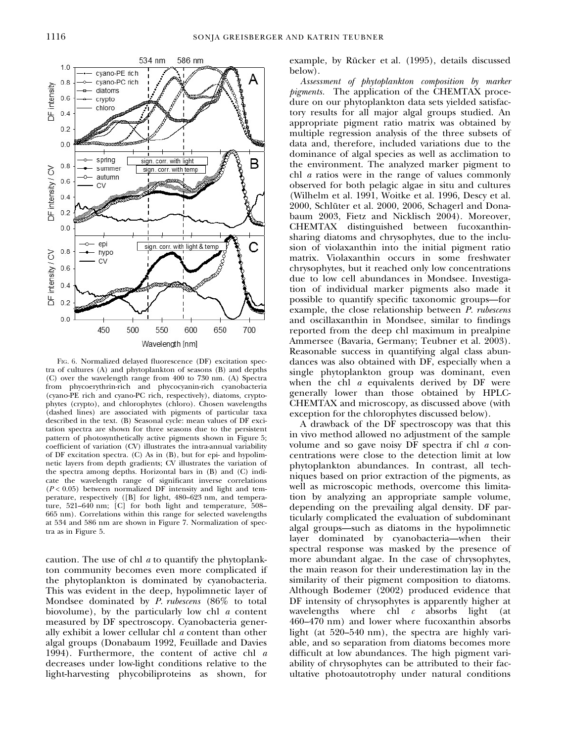

Fig. 6. Normalized delayed fluorescence (DF) excitation spectra of cultures (A) and phytoplankton of seasons (B) and depths (C) over the wavelength range from 400 to 730 nm. (A) Spectra from phycoerythrin-rich and phycocyanin-rich cyanobacteria (cyano-PE rich and cyano-PC rich, respectively), diatoms, cryptophytes (crypto), and chlorophytes (chloro). Chosen wavelengths (dashed lines) are associated with pigments of particular taxa described in the text. (B) Seasonal cycle: mean values of DF excitation spectra are shown for three seasons due to the persistent pattern of photosynthetically active pigments shown in Figure 5; coefficient of variation (CV) illustrates the intra-annual variability of DF excitation spectra. (C) As in (B), but for epi- and hypolimnetic layers from depth gradients; CV illustrates the variation of the spectra among depths. Horizontal bars in (B) and (C) indicate the wavelength range of significant inverse correlations  $(P < 0.05)$  between normalized DF intensity and light and temperature, respectively ([B] for light, 480–623 nm, and temperature, 521–640 nm; [C] for both light and temperature, 508– 665 nm). Correlations within this range for selected wavelengths at 534 and 586 nm are shown in Figure 7. Normalization of spectra as in Figure 5.

caution. The use of chl a to quantify the phytoplankton community becomes even more complicated if the phytoplankton is dominated by cyanobacteria. This was evident in the deep, hypolimnetic layer of Mondsee dominated by P. rubescens (86% to total biovolume), by the particularly low chl  $a$  content measured by DF spectroscopy. Cyanobacteria generally exhibit a lower cellular chl a content than other algal groups (Donabaum 1992, Feuillade and Davies 1994). Furthermore, the content of active chl a decreases under low-light conditions relative to the light-harvesting phycobiliproteins as shown, for

example, by Rücker et al. (1995), details discussed below).

Assessment of phytoplankton composition by marker pigments. The application of the CHEMTAX procedure on our phytoplankton data sets yielded satisfactory results for all major algal groups studied. An appropriate pigment ratio matrix was obtained by multiple regression analysis of the three subsets of data and, therefore, included variations due to the dominance of algal species as well as acclimation to the environment. The analyzed marker pigment to chl a ratios were in the range of values commonly observed for both pelagic algae in situ and cultures (Wilhelm et al. 1991, Woitke et al. 1996, Descy et al. 2000, Schlüter et al. 2000, 2006, Schagerl and Donabaum 2003, Fietz and Nicklisch 2004). Moreover, CHEMTAX distinguished between fucoxanthinsharing diatoms and chrysophytes, due to the inclusion of violaxanthin into the initial pigment ratio matrix. Violaxanthin occurs in some freshwater chrysophytes, but it reached only low concentrations due to low cell abundances in Mondsee. Investigation of individual marker pigments also made it possible to quantify specific taxonomic groups—for example, the close relationship between P. rubescens and oscillaxanthin in Mondsee, similar to findings reported from the deep chl maximum in prealpine Ammersee (Bavaria, Germany; Teubner et al. 2003). Reasonable success in quantifying algal class abundances was also obtained with DF, especially when a single phytoplankton group was dominant, even when the chl  $\alpha$  equivalents derived by DF were generally lower than those obtained by HPLC-CHEMTAX and microscopy, as discussed above (with exception for the chlorophytes discussed below).

A drawback of the DF spectroscopy was that this in vivo method allowed no adjustment of the sample volume and so gave noisy DF spectra if chl a concentrations were close to the detection limit at low phytoplankton abundances. In contrast, all techniques based on prior extraction of the pigments, as well as microscopic methods, overcome this limitation by analyzing an appropriate sample volume, depending on the prevailing algal density. DF particularly complicated the evaluation of subdominant algal groups—such as diatoms in the hypolimnetic layer dominated by cyanobacteria—when their spectral response was masked by the presence of more abundant algae. In the case of chrysophytes, the main reason for their underestimation lay in the similarity of their pigment composition to diatoms. Although Bodemer (2002) produced evidence that DF intensity of chrysophytes is apparently higher at wavelengths where chl  $c$  absorbs light (at 460–470 nm) and lower where fucoxanthin absorbs light (at 520–540 nm), the spectra are highly variable, and so separation from diatoms becomes more difficult at low abundances. The high pigment variability of chrysophytes can be attributed to their facultative photoautotrophy under natural conditions